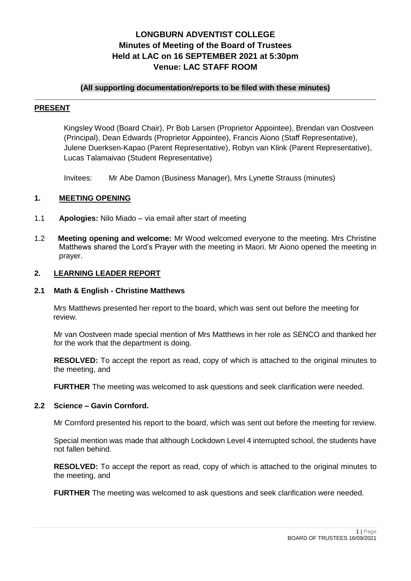# **LONGBURN ADVENTIST COLLEGE Minutes of Meeting of the Board of Trustees Held at LAC on 16 SEPTEMBER 2021 at 5:30pm Venue: LAC STAFF ROOM**

# **(All supporting documentation/reports to be filed with these minutes)**

# **PRESENT**

Kingsley Wood (Board Chair), Pr Bob Larsen (Proprietor Appointee), Brendan van Oostveen (Principal), Dean Edwards (Proprietor Appointee), Francis Aiono (Staff Representative), Julene Duerksen-Kapao (Parent Representative), Robyn van Klink (Parent Representative), Lucas Talamaivao (Student Representative)

Invitees: Mr Abe Damon (Business Manager), Mrs Lynette Strauss (minutes)

# **1. MEETING OPENING**

- 1.1 **Apologies:** Nilo Miado via email after start of meeting
- 1.2 **Meeting opening and welcome:** Mr Wood welcomed everyone to the meeting. Mrs Christine Matthews shared the Lord's Prayer with the meeting in Maori. Mr Aiono opened the meeting in prayer.

# **2. LEARNING LEADER REPORT**

#### **2.1 Math & English - Christine Matthews**

Mrs Matthews presented her report to the board, which was sent out before the meeting for review.

Mr van Oostveen made special mention of Mrs Matthews in her role as SENCO and thanked her for the work that the department is doing.

**RESOLVED:** To accept the report as read, copy of which is attached to the original minutes to the meeting, and

**FURTHER** The meeting was welcomed to ask questions and seek clarification were needed.

# **2.2 Science – Gavin Cornford.**

Mr Cornford presented his report to the board, which was sent out before the meeting for review.

Special mention was made that although Lockdown Level 4 interrupted school, the students have not fallen behind.

**RESOLVED:** To accept the report as read, copy of which is attached to the original minutes to the meeting, and

FURTHER The meeting was welcomed to ask questions and seek clarification were needed.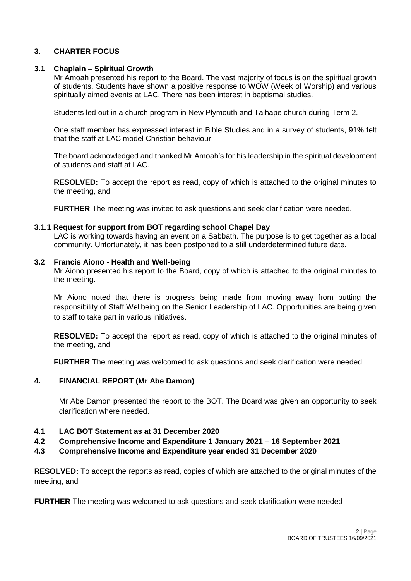# **3. CHARTER FOCUS**

### **3.1 Chaplain – Spiritual Growth**

Mr Amoah presented his report to the Board. The vast majority of focus is on the spiritual growth of students. Students have shown a positive response to WOW (Week of Worship) and various spiritually aimed events at LAC. There has been interest in baptismal studies.

Students led out in a church program in New Plymouth and Taihape church during Term 2.

One staff member has expressed interest in Bible Studies and in a survey of students, 91% felt that the staff at LAC model Christian behaviour.

The board acknowledged and thanked Mr Amoah's for his leadership in the spiritual development of students and staff at LAC.

**RESOLVED:** To accept the report as read, copy of which is attached to the original minutes to the meeting, and

**FURTHER** The meeting was invited to ask questions and seek clarification were needed.

#### **3.1.1 Request for support from BOT regarding school Chapel Day**

LAC is working towards having an event on a Sabbath. The purpose is to get together as a local community. Unfortunately, it has been postponed to a still underdetermined future date.

#### **3.2 Francis Aiono - Health and Well-being**

Mr Aiono presented his report to the Board, copy of which is attached to the original minutes to the meeting.

Mr Aiono noted that there is progress being made from moving away from putting the responsibility of Staff Wellbeing on the Senior Leadership of LAC. Opportunities are being given to staff to take part in various initiatives.

**RESOLVED:** To accept the report as read, copy of which is attached to the original minutes of the meeting, and

**FURTHER** The meeting was welcomed to ask questions and seek clarification were needed.

#### **4. FINANCIAL REPORT (Mr Abe Damon)**

Mr Abe Damon presented the report to the BOT. The Board was given an opportunity to seek clarification where needed.

### **4.1 LAC BOT Statement as at 31 December 2020**

- **4.2 Comprehensive Income and Expenditure 1 January 2021 – 16 September 2021**
- **4.3 Comprehensive Income and Expenditure year ended 31 December 2020**

**RESOLVED:** To accept the reports as read, copies of which are attached to the original minutes of the meeting, and

**FURTHER** The meeting was welcomed to ask questions and seek clarification were needed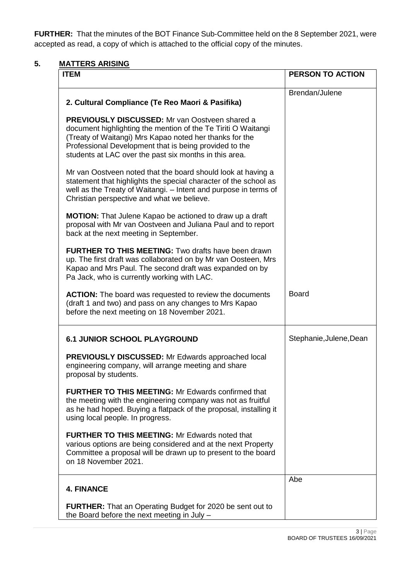**FURTHER:** That the minutes of the BOT Finance Sub-Committee held on the 8 September 2021, were accepted as read, a copy of which is attached to the official copy of the minutes.

# **5. MATTERS ARISING**

| <b>ITEM</b>                                                                                                                                                                                                                                                                                           | <b>PERSON TO ACTION</b> |
|-------------------------------------------------------------------------------------------------------------------------------------------------------------------------------------------------------------------------------------------------------------------------------------------------------|-------------------------|
| 2. Cultural Compliance (Te Reo Maori & Pasifika)                                                                                                                                                                                                                                                      | Brendan/Julene          |
| <b>PREVIOUSLY DISCUSSED:</b> Mr van Oostveen shared a<br>document highlighting the mention of the Te Tiriti O Waitangi<br>(Treaty of Waitangi) Mrs Kapao noted her thanks for the<br>Professional Development that is being provided to the<br>students at LAC over the past six months in this area. |                         |
| Mr van Oostveen noted that the board should look at having a<br>statement that highlights the special character of the school as<br>well as the Treaty of Waitangi. - Intent and purpose in terms of<br>Christian perspective and what we believe.                                                    |                         |
| <b>MOTION:</b> That Julene Kapao be actioned to draw up a draft<br>proposal with Mr van Oostveen and Juliana Paul and to report<br>back at the next meeting in September.                                                                                                                             |                         |
| <b>FURTHER TO THIS MEETING:</b> Two drafts have been drawn<br>up. The first draft was collaborated on by Mr van Oosteen, Mrs<br>Kapao and Mrs Paul. The second draft was expanded on by<br>Pa Jack, who is currently working with LAC.                                                                |                         |
| <b>ACTION:</b> The board was requested to review the documents<br>(draft 1 and two) and pass on any changes to Mrs Kapao<br>before the next meeting on 18 November 2021.                                                                                                                              | <b>Board</b>            |
| <b>6.1 JUNIOR SCHOOL PLAYGROUND</b>                                                                                                                                                                                                                                                                   | Stephanie, Julene, Dean |
| <b>PREVIOUSLY DISCUSSED:</b> Mr Edwards approached local<br>engineering company, will arrange meeting and share<br>proposal by students.                                                                                                                                                              |                         |
| <b>FURTHER TO THIS MEETING: Mr Edwards confirmed that</b><br>the meeting with the engineering company was not as fruitful<br>as he had hoped. Buying a flatpack of the proposal, installing it<br>using local people. In progress.                                                                    |                         |
| <b>FURTHER TO THIS MEETING: Mr Edwards noted that</b><br>various options are being considered and at the next Property<br>Committee a proposal will be drawn up to present to the board<br>on 18 November 2021.                                                                                       |                         |
| <b>4. FINANCE</b>                                                                                                                                                                                                                                                                                     | Abe                     |
| <b>FURTHER:</b> That an Operating Budget for 2020 be sent out to<br>the Board before the next meeting in July -                                                                                                                                                                                       |                         |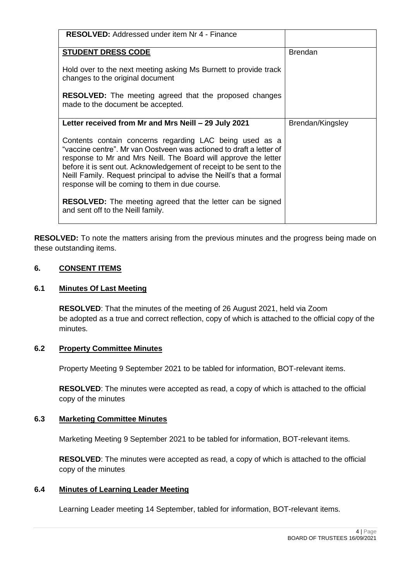| <b>RESOLVED:</b> Addressed under item Nr 4 - Finance                                                                                                                                                                                                                                                                                                                                              |                  |
|---------------------------------------------------------------------------------------------------------------------------------------------------------------------------------------------------------------------------------------------------------------------------------------------------------------------------------------------------------------------------------------------------|------------------|
| <b>STUDENT DRESS CODE</b>                                                                                                                                                                                                                                                                                                                                                                         | <b>Brendan</b>   |
| Hold over to the next meeting asking Ms Burnett to provide track<br>changes to the original document                                                                                                                                                                                                                                                                                              |                  |
| <b>RESOLVED:</b> The meeting agreed that the proposed changes<br>made to the document be accepted.                                                                                                                                                                                                                                                                                                |                  |
| Letter received from Mr and Mrs Neill - 29 July 2021                                                                                                                                                                                                                                                                                                                                              | Brendan/Kingsley |
| Contents contain concerns regarding LAC being used as a<br>"vaccine centre". Mr van Oostveen was actioned to draft a letter of<br>response to Mr and Mrs Neill. The Board will approve the letter<br>before it is sent out. Acknowledgement of receipt to be sent to the<br>Neill Family. Request principal to advise the Neill's that a formal<br>response will be coming to them in due course. |                  |
| <b>RESOLVED:</b> The meeting agreed that the letter can be signed<br>and sent off to the Neill family.                                                                                                                                                                                                                                                                                            |                  |

**RESOLVED:** To note the matters arising from the previous minutes and the progress being made on these outstanding items.

# **6. CONSENT ITEMS**

# **6.1 Minutes Of Last Meeting**

**RESOLVED**: That the minutes of the meeting of 26 August 2021, held via Zoom be adopted as a true and correct reflection, copy of which is attached to the official copy of the minutes.

# **6.2 Property Committee Minutes**

Property Meeting 9 September 2021 to be tabled for information, BOT-relevant items.

**RESOLVED**: The minutes were accepted as read, a copy of which is attached to the official copy of the minutes

# **6.3 Marketing Committee Minutes**

Marketing Meeting 9 September 2021 to be tabled for information, BOT-relevant items.

**RESOLVED**: The minutes were accepted as read, a copy of which is attached to the official copy of the minutes

# **6.4 Minutes of Learning Leader Meeting**

Learning Leader meeting 14 September, tabled for information, BOT-relevant items.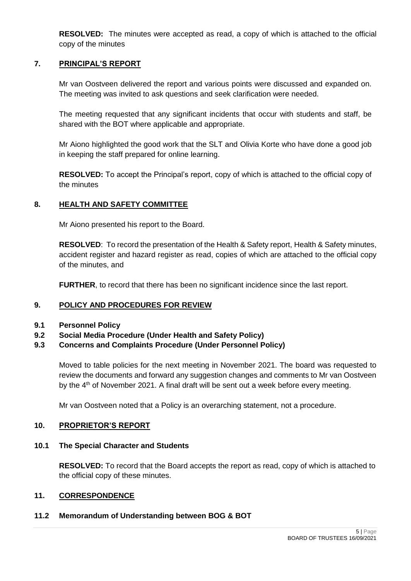**RESOLVED:** The minutes were accepted as read, a copy of which is attached to the official copy of the minutes

# **7. PRINCIPAL'S REPORT**

Mr van Oostveen delivered the report and various points were discussed and expanded on. The meeting was invited to ask questions and seek clarification were needed.

The meeting requested that any significant incidents that occur with students and staff, be shared with the BOT where applicable and appropriate.

Mr Aiono highlighted the good work that the SLT and Olivia Korte who have done a good job in keeping the staff prepared for online learning.

**RESOLVED:** To accept the Principal's report, copy of which is attached to the official copy of the minutes

# **8. HEALTH AND SAFETY COMMITTEE**

Mr Aiono presented his report to the Board.

**RESOLVED**: To record the presentation of the Health & Safety report, Health & Safety minutes, accident register and hazard register as read, copies of which are attached to the official copy of the minutes, and

**FURTHER**, to record that there has been no significant incidence since the last report.

# **9. POLICY AND PROCEDURES FOR REVIEW**

- **9.1 Personnel Policy**
- **9.2 Social Media Procedure (Under Health and Safety Policy)**

# **9.3 Concerns and Complaints Procedure (Under Personnel Policy)**

Moved to table policies for the next meeting in November 2021. The board was requested to review the documents and forward any suggestion changes and comments to Mr van Oostveen by the  $4<sup>th</sup>$  of November 2021. A final draft will be sent out a week before every meeting.

Mr van Oostveen noted that a Policy is an overarching statement, not a procedure.

#### **10. PROPRIETOR'S REPORT**

#### **10.1 The Special Character and Students**

**RESOLVED:** To record that the Board accepts the report as read, copy of which is attached to the official copy of these minutes.

### **11. CORRESPONDENCE**

# **11.2 Memorandum of Understanding between BOG & BOT**